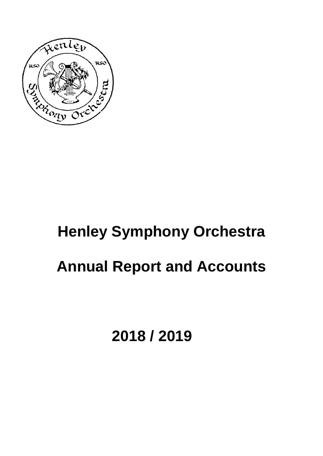

# **Henley Symphony Orchestra Annual Report and Accounts**

**2018 / 2019**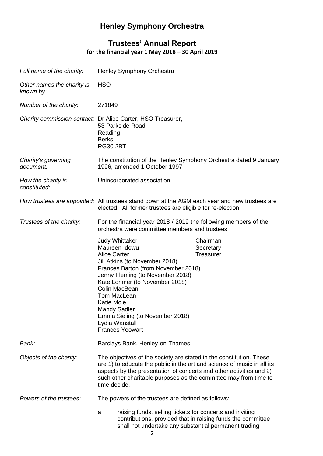# **Henley Symphony Orchestra**

## **Trustees' Annual Report for the financial year 1 May 2018 – 30 April 2019**

| Full name of the charity:               | Henley Symphony Orchestra                                                                                                                                                                                                                                                                                                                                         |                                                             |
|-----------------------------------------|-------------------------------------------------------------------------------------------------------------------------------------------------------------------------------------------------------------------------------------------------------------------------------------------------------------------------------------------------------------------|-------------------------------------------------------------|
| Other names the charity is<br>known by: | <b>HSO</b>                                                                                                                                                                                                                                                                                                                                                        |                                                             |
| Number of the charity:                  | 271849                                                                                                                                                                                                                                                                                                                                                            |                                                             |
|                                         | Charity commission contact: Dr Alice Carter, HSO Treasurer,<br>53 Parkside Road,<br>Reading,<br>Berks,<br><b>RG30 2BT</b>                                                                                                                                                                                                                                         |                                                             |
| Charity's governing<br>document:        | The constitution of the Henley Symphony Orchestra dated 9 January<br>1996, amended 1 October 1997                                                                                                                                                                                                                                                                 |                                                             |
| How the charity is<br>constituted:      | Unincorporated association                                                                                                                                                                                                                                                                                                                                        |                                                             |
|                                         | How trustees are appointed: All trustees stand down at the AGM each year and new trustees are<br>elected. All former trustees are eligible for re-election.                                                                                                                                                                                                       |                                                             |
| Trustees of the charity:                | For the financial year 2018 / 2019 the following members of the<br>orchestra were committee members and trustees:                                                                                                                                                                                                                                                 |                                                             |
|                                         | <b>Judy Whittaker</b><br>Maureen Idowu<br><b>Alice Carter</b><br>Jill Atkins (to November 2018)<br>Frances Barton (from November 2018)<br>Jenny Fleming (to November 2018)<br>Kate Lorimer (to November 2018)<br>Colin MacBean<br>Tom MacLean<br><b>Katie Mole</b><br>Mandy Sadler<br>Emma Sieling (to November 2018)<br>Lydia Wanstall<br><b>Frances Yeowart</b> | Chairman<br>Secretary<br>Treasurer                          |
| Bank:                                   | Barclays Bank, Henley-on-Thames.                                                                                                                                                                                                                                                                                                                                  |                                                             |
| Objects of the charity:                 | The objectives of the society are stated in the constitution. These<br>are 1) to educate the public in the art and science of music in all its<br>aspects by the presentation of concerts and other activities and 2)<br>such other charitable purposes as the committee may from time to<br>time decide.                                                         |                                                             |
| Powers of the trustees:                 | The powers of the trustees are defined as follows:                                                                                                                                                                                                                                                                                                                |                                                             |
|                                         | raising funds, selling tickets for concerts and inviting<br>a<br>shall not undertake any substantial permanent trading                                                                                                                                                                                                                                            | contributions, provided that in raising funds the committee |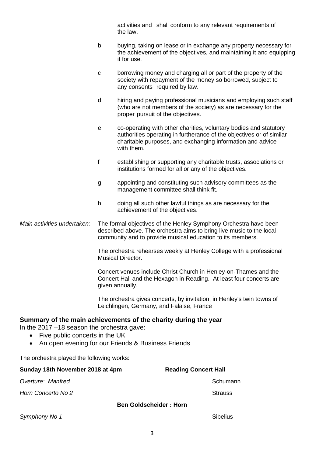activities and shall conform to any relevant requirements of the law.

- b buying, taking on lease or in exchange any property necessary for the achievement of the objectives, and maintaining it and equipping it for use.
- c borrowing money and charging all or part of the property of the society with repayment of the money so borrowed, subject to any consents required by law.
- d hiring and paying professional musicians and employing such staff (who are not members of the society) as are necessary for the proper pursuit of the objectives.
- e co-operating with other charities, voluntary bodies and statutory authorities operating in furtherance of the objectives or of similar charitable purposes, and exchanging information and advice with them.
- f establishing or supporting any charitable trusts, associations or institutions formed for all or any of the objectives.
- g appointing and constituting such advisory committees as the management committee shall think fit.
- h doing all such other lawful things as are necessary for the achievement of the objectives.

*Main activities undertaken:* The formal objectives of the Henley Symphony Orchestra have been described above. The orchestra aims to bring live music to the local community and to provide musical education to its members.

> The orchestra rehearses weekly at Henley College with a professional Musical Director.

Concert venues include Christ Church in Henley-on-Thames and the Concert Hall and the Hexagon in Reading. At least four concerts are given annually.

The orchestra gives concerts, by invitation, in Henley's twin towns of Leichlingen, Germany, and Falaise, France

#### **Summary of the main achievements of the charity during the year**

In the 2017 –18 season the orchestra gave:

- Five public concerts in the UK
- An open evening for our Friends & Business Friends

The orchestra played the following works:

| Sunday 18th November 2018 at 4pm | <b>Reading Concert Hall</b>   |
|----------------------------------|-------------------------------|
| Overture: Manfred                | Schumann                      |
| Horn Concerto No 2               | <b>Strauss</b>                |
|                                  | <b>Ben Goldscheider: Horn</b> |
| Symphony No 1                    | <b>Sibelius</b>               |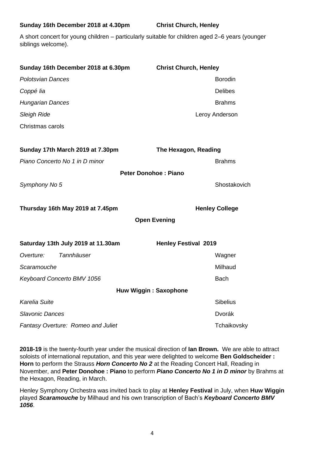#### **Sunday 16th December 2018 at 4.30pm Christ Church, Henley**

A short concert for young children – particularly suitable for children aged 2–6 years (younger siblings welcome).

| Sunday 16th December 2018 at 6.30pm | <b>Christ Church, Henley</b> |
|-------------------------------------|------------------------------|
| <b>Polotsvian Dances</b>            | <b>Borodin</b>               |
| Coppé lia                           | <b>Delibes</b>               |
| <b>Hungarian Dances</b>             | <b>Brahms</b>                |
| <b>Sleigh Ride</b>                  | Leroy Anderson               |
| Christmas carols                    |                              |
| Sunday 17th March 2019 at 7.30pm    | The Hexagon, Reading         |
| Piano Concerto No 1 in D minor      | <b>Brahms</b>                |
|                                     | <b>Peter Donohoe: Piano</b>  |
| Symphony No 5                       | Shostakovich                 |
| Thursday 16th May 2019 at 7.45pm    | <b>Henley College</b>        |
|                                     | <b>Open Evening</b>          |
| Saturday 13th July 2019 at 11.30am  | <b>Henley Festival 2019</b>  |
| Tannhäuser<br>Overture:             | Wagner                       |
| Scaramouche                         | Milhaud                      |
| Keyboard Concerto BMV 1056          | <b>Bach</b>                  |
|                                     | <b>Huw Wiggin: Saxophone</b> |
| Karelia Suite                       | <b>Sibelius</b>              |
| <b>Slavonic Dances</b>              | Dvorák                       |
| Fantasy Overture: Romeo and Juliet  | Tchaikovsky                  |

**2018-19** is the twenty-fourth year under the musical direction of **Ian Brown.** We are able to attract soloists of international reputation, and this year were delighted to welcome **Ben Goldscheider : Horn** to perform the Strauss *Horn Concerto No 2* at the Reading Concert Hall, Reading in November, and **Peter Donohoe : Piano** to perform *Piano Concerto No 1 in D minor* by Brahms at the Hexagon, Reading, in March.

Henley Symphony Orchestra was invited back to play at **Henley Festival** in July, when **Huw Wiggin**  played *Scaramouche* by Milhaud and his own transcription of Bach's *Keyboard Concerto BMV 1056*.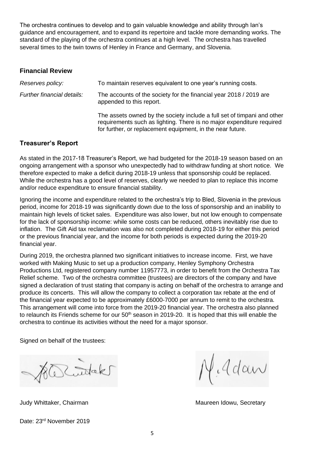The orchestra continues to develop and to gain valuable knowledge and ability through Ian's guidance and encouragement, and to expand its repertoire and tackle more demanding works. The standard of the playing of the orchestra continues at a high level. The orchestra has travelled several times to the twin towns of Henley in France and Germany, and Slovenia.

#### **Financial Review**

| Reserves policy:           | To maintain reserves equivalent to one year's running costs.                                                                                                                                                   |
|----------------------------|----------------------------------------------------------------------------------------------------------------------------------------------------------------------------------------------------------------|
| Further financial details: | The accounts of the society for the financial year 2018 / 2019 are<br>appended to this report.                                                                                                                 |
|                            | The assets owned by the society include a full set of timpani and other<br>requirements such as lighting. There is no major expenditure required<br>for further, or replacement equipment, in the near future. |

#### **Treasurer's Report**

As stated in the 2017-18 Treasurer's Report, we had budgeted for the 2018-19 season based on an ongoing arrangement with a sponsor who unexpectedly had to withdraw funding at short notice. We therefore expected to make a deficit during 2018-19 unless that sponsorship could be replaced. While the orchestra has a good level of reserves, clearly we needed to plan to replace this income and/or reduce expenditure to ensure financial stability.

Ignoring the income and expenditure related to the orchestra's trip to Bled, Slovenia in the previous period, income for 2018-19 was significantly down due to the loss of sponsorship and an inability to maintain high levels of ticket sales. Expenditure was also lower, but not low enough to compensate for the lack of sponsorship income: while some costs can be reduced, others inevitably rise due to inflation. The Gift Aid tax reclamation was also not completed during 2018-19 for either this period or the previous financial year, and the income for both periods is expected during the 2019-20 financial year.

During 2019, the orchestra planned two significant initiatives to increase income. First, we have worked with Making Music to set up a production company, Henley Symphony Orchestra Productions Ltd, registered company number 11957773, in order to benefit from the Orchestra Tax Relief scheme. Two of the orchestra committee (trustees) are directors of the company and have signed a declaration of trust stating that company is acting on behalf of the orchestra to arrange and produce its concerts. This will allow the company to collect a corporation tax rebate at the end of the financial year expected to be approximately £6000-7000 per annum to remit to the orchestra. This arrangement will come into force from the 2019-20 financial year. The orchestra also planned to relaunch its Friends scheme for our 50<sup>th</sup> season in 2019-20. It is hoped that this will enable the orchestra to continue its activities without the need for a major sponsor.

Signed on behalf of the trustees:

R. Stak

Adan

Judy Whittaker, Chairman Maureen Idowu, Secretary Maureen Idowu, Secretary

Date: 23<sup>rd</sup> November 2019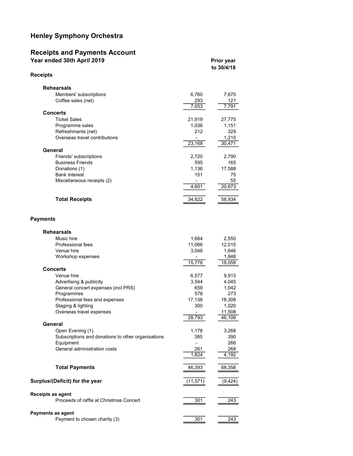### Henley Symphony Orchestra

#### Receipts and Payments Account Year ended 30th April 2019 **Prior year** Prior year

| <b>Receipts</b>               |        |        |
|-------------------------------|--------|--------|
| <b>Rehearsals</b>             |        |        |
| Members' subscriptions        | 6,760  | 7,670  |
| Coffee sales (net)            | 293    | 121    |
|                               | 7,053  | 7,791  |
| <b>Concerts</b>               |        |        |
| <b>Ticket Sales</b>           | 21,919 | 27,775 |
| Programme sales               | 1,036  | 1,151  |
| Refreshments (net)            | 212    | 329    |
| Overseas travel contributions |        | 1,215  |
|                               | 23,168 | 30,471 |
| General                       |        |        |
| Friends' subscriptions        | 2,720  | 2,790  |
| <b>Business Friends</b>       | 595    | 165    |
| Donations (1)                 | 1,136  | 17,588 |
| <b>Bank Interest</b>          | 151    | 75     |
| Miscellaneous receipts (2)    |        | 55     |
|                               | 4,601  | 20,673 |
| <b>Total Receipts</b>         | 34,822 | 58,934 |

to 30/4/18

#### Payments

| <b>Rehearsals</b>                                            |           |          |
|--------------------------------------------------------------|-----------|----------|
| Music hire                                                   | 1,664     | 2,550    |
| Professional fees                                            | 11,066    | 12,015   |
| Venue hire                                                   | 3,046     | 1,646    |
| Workshop expenses                                            |           | 1,848    |
|                                                              | 15,776    | 18,059   |
| <b>Concerts</b>                                              |           |          |
| Venue hire                                                   | 6,577     | 9,913    |
| Advertising & publicity                                      | 3,544     | 4,045    |
| General concert expenses (incl PRS)                          | 659       | 1,042    |
| Programmes                                                   | 576       | 273      |
| Professional fees and expenses                               | 17,138    | 18,308   |
| Staging & lighting                                           | 300       | 1,020    |
| Overseas travel expenses                                     |           | 11,508   |
|                                                              | 28,793    | 46,108   |
| General                                                      |           |          |
| Open Evening (1)                                             | 1,178     | 3,268    |
| Subscriptions and donations to other organisations           | 385       | 390      |
| Equipment                                                    |           | 266      |
| General administration costs                                 | 261       | 268      |
|                                                              | 1,824     | 4,192    |
| <b>Total Payments</b>                                        | 46,393    | 68,358   |
| Surplus/(Deficit) for the year                               | (11, 571) | (9, 424) |
| Receipts as agent<br>Proceeds of raffle at Christmas Concert | 301       | 243      |
|                                                              |           |          |
| Payments as agent                                            |           |          |
| Payment to chosen charity (3)                                | 301       | 243      |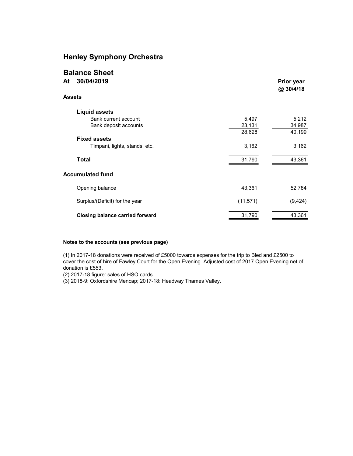#### Henley Symphony Orchestra

| <b>Balance Sheet</b><br>30/04/2019<br>At |           | <b>Prior year</b> |
|------------------------------------------|-----------|-------------------|
|                                          |           | @ 30/4/18         |
| Assets                                   |           |                   |
| <b>Liquid assets</b>                     |           |                   |
| Bank current account                     | 5,497     | 5,212             |
| Bank deposit accounts                    | 23,131    | 34,987            |
|                                          | 28,628    | 40,199            |
| <b>Fixed assets</b>                      |           |                   |
| Timpani, lights, stands, etc.            | 3,162     | 3,162             |
| <b>Total</b>                             | 31,790    | 43,361            |
| <b>Accumulated fund</b>                  |           |                   |
| Opening balance                          | 43,361    | 52,784            |
| Surplus/(Deficit) for the year           | (11, 571) | (9, 424)          |
| <b>Closing balance carried forward</b>   | 31,790    | 43,361            |
|                                          |           |                   |

#### Notes to the accounts (see previous page)

(1) In 2017-18 donations were received of £5000 towards expenses for the trip to Bled and £2500 to cover the cost of hire of Fawley Court for the Open Evening. Adjusted cost of 2017 Open Evening net of donation is £553.

(2) 2017-18 figure: sales of HSO cards

(3) 2018-9: Oxfordshire Mencap; 2017-18: Headway Thames Valley.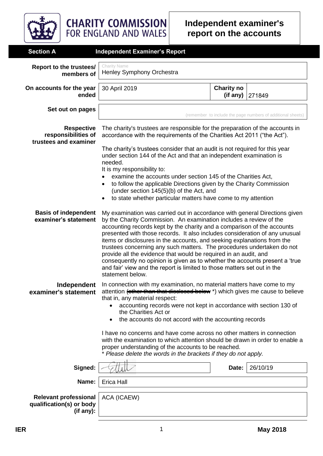

**CHARITY COMMISSION**<br>FOR ENGLAND AND WALES

| <b>Section A</b>                                                      | <b>Independent Examiner's Report</b>                                                                                                                                                                                                                                                                                                                                                                                                                                                                                                                                                                                                                                                                               |                               |                                                             |
|-----------------------------------------------------------------------|--------------------------------------------------------------------------------------------------------------------------------------------------------------------------------------------------------------------------------------------------------------------------------------------------------------------------------------------------------------------------------------------------------------------------------------------------------------------------------------------------------------------------------------------------------------------------------------------------------------------------------------------------------------------------------------------------------------------|-------------------------------|-------------------------------------------------------------|
| Report to the trustees/<br>members of                                 | <b>Charity Name</b><br>Henley Symphony Orchestra                                                                                                                                                                                                                                                                                                                                                                                                                                                                                                                                                                                                                                                                   |                               |                                                             |
| On accounts for the year<br>ended                                     | 30 April 2019                                                                                                                                                                                                                                                                                                                                                                                                                                                                                                                                                                                                                                                                                                      | <b>Charity no</b><br>(if any) | 271849                                                      |
| Set out on pages                                                      |                                                                                                                                                                                                                                                                                                                                                                                                                                                                                                                                                                                                                                                                                                                    |                               | (remember to include the page numbers of additional sheets) |
| <b>Respective</b><br>responsibilities of<br>trustees and examiner     | The charity's trustees are responsible for the preparation of the accounts in<br>accordance with the requirements of the Charities Act 2011 ("the Act").<br>The charity's trustees consider that an audit is not required for this year<br>under section 144 of the Act and that an independent examination is<br>needed.<br>It is my responsibility to:<br>examine the accounts under section 145 of the Charities Act,<br>to follow the applicable Directions given by the Charity Commission                                                                                                                                                                                                                    |                               |                                                             |
|                                                                       | (under section 145(5)(b) of the Act, and<br>to state whether particular matters have come to my attention                                                                                                                                                                                                                                                                                                                                                                                                                                                                                                                                                                                                          |                               |                                                             |
| <b>Basis of independent</b><br>examiner's statement                   | My examination was carried out in accordance with general Directions given<br>by the Charity Commission. An examination includes a review of the<br>accounting records kept by the charity and a comparison of the accounts<br>presented with those records. It also includes consideration of any unusual<br>items or disclosures in the accounts, and seeking explanations from the<br>trustees concerning any such matters. The procedures undertaken do not<br>provide all the evidence that would be required in an audit, and<br>consequently no opinion is given as to whether the accounts present a 'true<br>and fair' view and the report is limited to those matters set out in the<br>statement below. |                               |                                                             |
| Independent<br>examiner's statement                                   | In connection with my examination, no material matters have come to my<br>attention (other than that disclessed below *) which gives me cause to believe<br>that in, any material respect:<br>accounting records were not kept in accordance with section 130 of<br>the Charities Act or<br>the accounts do not accord with the accounting records                                                                                                                                                                                                                                                                                                                                                                 |                               |                                                             |
|                                                                       | I have no concerns and have come across no other matters in connection<br>with the examination to which attention should be drawn in order to enable a<br>proper understanding of the accounts to be reached.<br>* Please delete the words in the brackets if they do not apply.                                                                                                                                                                                                                                                                                                                                                                                                                                   |                               |                                                             |
| Signed:                                                               |                                                                                                                                                                                                                                                                                                                                                                                                                                                                                                                                                                                                                                                                                                                    | Date:                         | 26/10/19                                                    |
| Name:                                                                 | Erica Hall                                                                                                                                                                                                                                                                                                                                                                                                                                                                                                                                                                                                                                                                                                         |                               |                                                             |
| <b>Relevant professional</b><br>qualification(s) or body<br>(if any): | ACA (ICAEW)                                                                                                                                                                                                                                                                                                                                                                                                                                                                                                                                                                                                                                                                                                        |                               |                                                             |